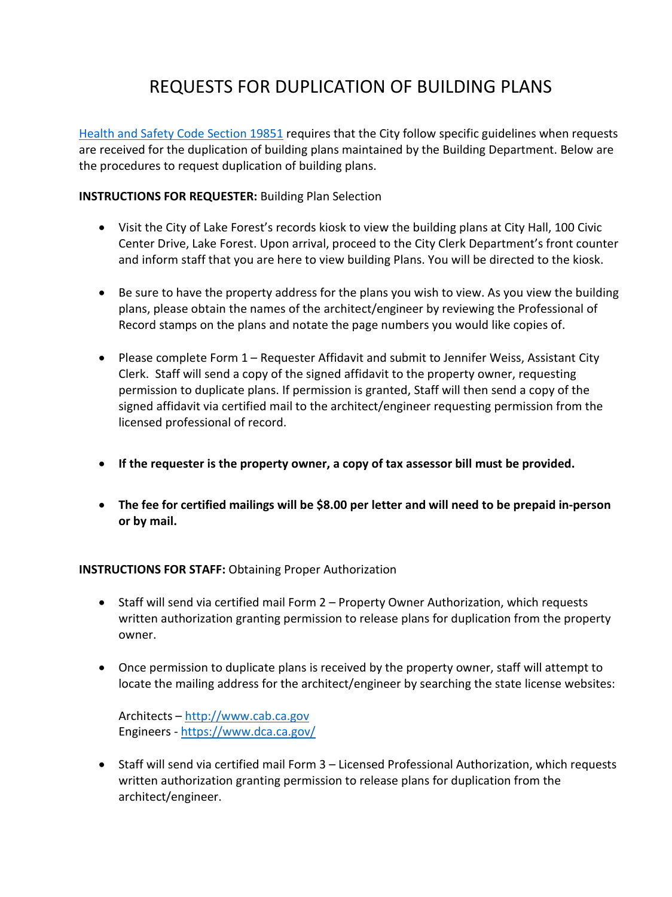## REQUESTS FOR DUPLICATION OF BUILDING PLANS

[Health and Safety Code Section 19851](http://leginfo.legislature.ca.gov/faces/codes_displaySection.xhtml?lawCode=HSC§ionNum=19851) requires that the City follow specific guidelines when requests are received for the duplication of building plans maintained by the Building Department. Below are the procedures to request duplication of building plans.

**INSTRUCTIONS FOR REQUESTER:** Building Plan Selection

- Visit the City of Lake Forest's records kiosk to view the building plans at City Hall, 100 Civic Center Drive, Lake Forest. Upon arrival, proceed to the City Clerk Department's front counter and inform staff that you are here to view building Plans. You will be directed to the kiosk.
- Be sure to have the property address for the plans you wish to view. As you view the building plans, please obtain the names of the architect/engineer by reviewing the Professional of Record stamps on the plans and notate the page numbers you would like copies of.
- Please complete Form 1 Requester Affidavit and submit to Jennifer Weiss, Assistant City Clerk. Staff will send a copy of the signed affidavit to the property owner, requesting permission to duplicate plans. If permission is granted, Staff will then send a copy of the signed affidavit via certified mail to the architect/engineer requesting permission from the licensed professional of record.
- **If the requester is the property owner, a copy of tax assessor bill must be provided.**
- **The fee for certified mailings will be \$8.00 per letter and will need to be prepaid in-person or by mail.**

## **INSTRUCTIONS FOR STAFF:** Obtaining Proper Authorization

- Staff will send via certified mail Form 2 Property Owner Authorization, which requests written authorization granting permission to release plans for duplication from the property owner.
- Once permission to duplicate plans is received by the property owner, staff will attempt to locate the mailing address for the architect/engineer by searching the state license websites:

Architects – [http://www.cab.ca.gov](http://www.cab.ca.gov/) Engineers -<https://www.dca.ca.gov/>

• Staff will send via certified mail Form 3 – Licensed Professional Authorization, which requests written authorization granting permission to release plans for duplication from the architect/engineer.